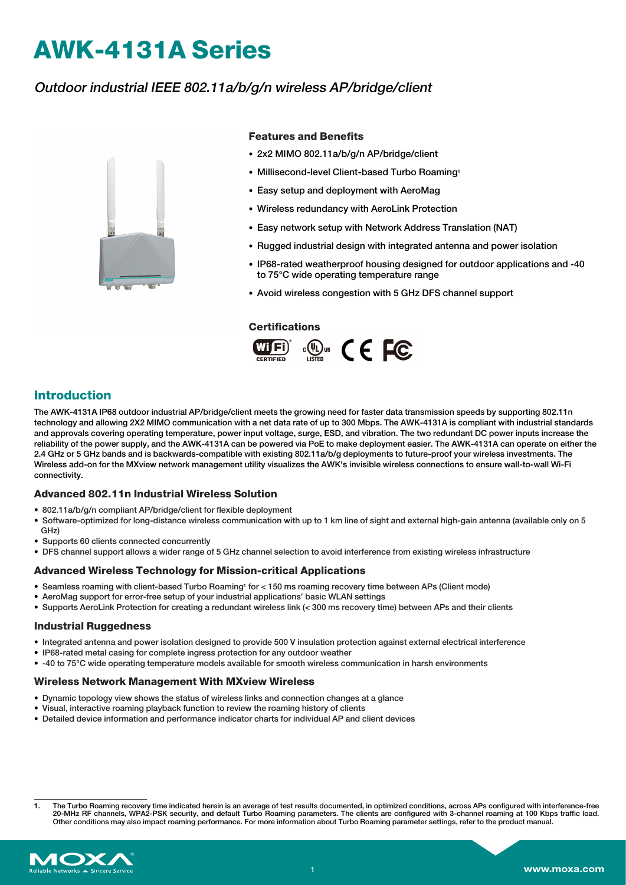# **AWK-4131A Series**

### Outdoor industrial IEEE 802.11a/b/g/n wireless AP/bridge/client



### **Features and Benefits**

- 2x2 MIMO 802.11a/b/g/n AP/bridge/client
- Millisecond-level Client-based Turbo Roaming1
- Easy setup and deployment with AeroMag
- Wireless redundancy with AeroLink Protection
- Easy network setup with Network Address Translation (NAT)
- Rugged industrial design with integrated antenna and power isolation
- IP68-rated weatherproof housing designed for outdoor applications and -40 to 75°C wide operating temperature range
- Avoid wireless congestion with 5 GHz DFS channel support

#### **Certifications**



### **Introduction**

The AWK-4131A IP68 outdoor industrial AP/bridge/client meets the growing need for faster data transmission speeds by supporting 802.11n technology and allowing 2X2 MIMO communication with a net data rate of up to 300 Mbps. The AWK-4131A is compliant with industrial standards and approvals covering operating temperature, power input voltage, surge, ESD, and vibration. The two redundant DC power inputs increase the reliability of the power supply, and the AWK-4131A can be powered via PoE to make deployment easier. The AWK-4131A can operate on either the 2.4 GHz or 5 GHz bands and is backwards-compatible with existing 802.11a/b/g deployments to future-proof your wireless investments. The Wireless add-on for the MXview network management utility visualizes the AWK's invisible wireless connections to ensure wall-to-wall Wi-Fi connectivity.

#### **Advanced 802.11n Industrial Wireless Solution**

- 802.11a/b/g/n compliant AP/bridge/client for flexible deployment
- Software-optimized for long-distance wireless communication with up to 1 km line of sight and external high-gain antenna (available only on 5 GHz)
- Supports 60 clients connected concurrently
- DFS channel support allows a wider range of 5 GHz channel selection to avoid interference from existing wireless infrastructure

#### **Advanced Wireless Technology for Mission-critical Applications**

- Seamless roaming with client-based Turbo Roaming<sup>1</sup> for < 150 ms roaming recovery time between APs (Client mode)
- AeroMag support for error-free setup of your industrial applications' basic WLAN settings
- Supports AeroLink Protection for creating a redundant wireless link (< 300 ms recovery time) between APs and their clients

#### **Industrial Ruggedness**

- Integrated antenna and power isolation designed to provide 500 V insulation protection against external electrical interference
- IP68-rated metal casing for complete ingress protection for any outdoor weather
- -40 to 75°C wide operating temperature models available for smooth wireless communication in harsh environments

#### **Wireless Network Management With MXview Wireless**

- Dynamic topology view shows the status of wireless links and connection changes at a glance
- Visual, interactive roaming playback function to review the roaming history of clients
- Detailed device information and performance indicator charts for individual AP and client devices

<sup>1.</sup> The Turbo Roaming recovery time indicated herein is an average of test results documented, in optimized conditions, across APs configured with interference-free 20-MHz RF channels, WPA2-PSK security, and default Turbo Roaming parameters. The clients are configured with 3-channel roaming at 100 Kbps traffic load. Other conditions may also impact roaming performance. For more information about Turbo Roaming parameter settings, refer to the product manual.

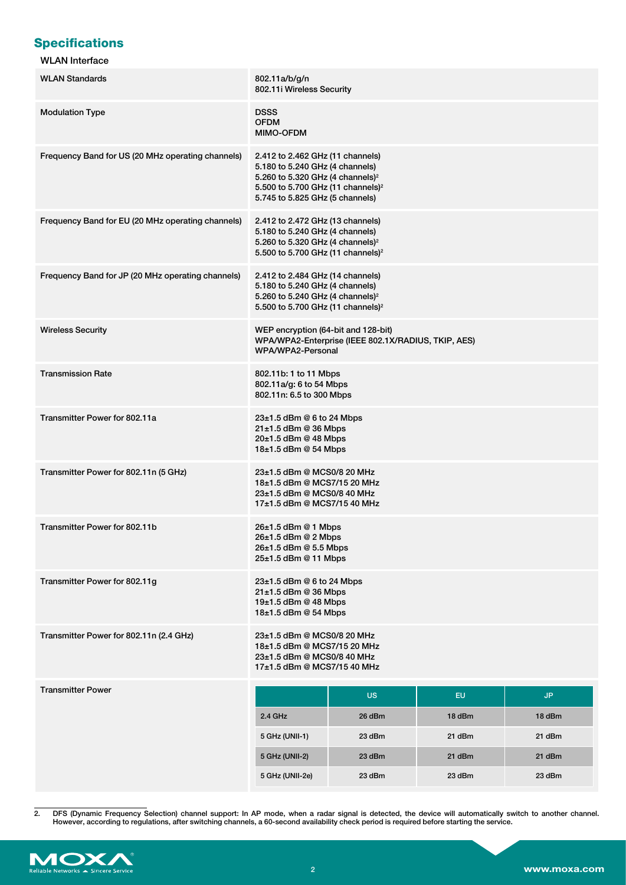# **Specifications**

### WLAN Interface

| <b>WLAN Standards</b>                             | 802.11a/b/g/n<br>802.11i Wireless Security                                                                                                                                                              |                                                     |        |           |
|---------------------------------------------------|---------------------------------------------------------------------------------------------------------------------------------------------------------------------------------------------------------|-----------------------------------------------------|--------|-----------|
| <b>Modulation Type</b>                            | <b>DSSS</b><br><b>OFDM</b><br>MIMO-OFDM                                                                                                                                                                 |                                                     |        |           |
| Frequency Band for US (20 MHz operating channels) | 2.412 to 2.462 GHz (11 channels)<br>5.180 to 5.240 GHz (4 channels)<br>5.260 to 5.320 GHz (4 channels) <sup>2</sup><br>5.500 to 5.700 GHz (11 channels) <sup>2</sup><br>5.745 to 5.825 GHz (5 channels) |                                                     |        |           |
| Frequency Band for EU (20 MHz operating channels) | 2.412 to 2.472 GHz (13 channels)<br>5.180 to 5.240 GHz (4 channels)<br>5.260 to 5.320 GHz (4 channels) <sup>2</sup><br>5.500 to 5.700 GHz (11 channels) <sup>2</sup>                                    |                                                     |        |           |
| Frequency Band for JP (20 MHz operating channels) | 2.412 to 2.484 GHz (14 channels)<br>5.180 to 5.240 GHz (4 channels)<br>5.260 to 5.240 GHz (4 channels) <sup>2</sup><br>5.500 to 5.700 GHz (11 channels) <sup>2</sup>                                    |                                                     |        |           |
| <b>Wireless Security</b>                          | WEP encryption (64-bit and 128-bit)<br>WPA/WPA2-Personal                                                                                                                                                | WPA/WPA2-Enterprise (IEEE 802.1X/RADIUS, TKIP, AES) |        |           |
| <b>Transmission Rate</b>                          | 802.11b: 1 to 11 Mbps<br>802.11a/g: 6 to 54 Mbps<br>802.11n: 6.5 to 300 Mbps                                                                                                                            |                                                     |        |           |
| Transmitter Power for 802.11a                     | 23±1.5 dBm @ 6 to 24 Mbps<br>$21\pm1.5$ dBm @ 36 Mbps<br>$20±1.5$ dBm @ 48 Mbps<br>$18\pm1.5$ dBm @ 54 Mbps                                                                                             |                                                     |        |           |
| Transmitter Power for 802.11n (5 GHz)             | 23±1.5 dBm @ MCS0/8 20 MHz<br>18±1.5 dBm @ MCS7/15 20 MHz<br>23±1.5 dBm @ MCS0/8 40 MHz<br>17±1.5 dBm @ MCS7/15 40 MHz                                                                                  |                                                     |        |           |
| Transmitter Power for 802.11b                     | 26±1.5 dBm @ 1 Mbps<br>26±1.5 dBm @ 2 Mbps<br>26±1.5 dBm @ 5.5 Mbps<br>25±1.5 dBm @ 11 Mbps                                                                                                             |                                                     |        |           |
| Transmitter Power for 802.11g                     | 23±1.5 dBm @ 6 to 24 Mbps<br>21±1.5 dBm @ 36 Mbps<br>19±1.5 dBm @ 48 Mbps<br>18±1.5 dBm @ 54 Mbps                                                                                                       |                                                     |        |           |
| Transmitter Power for 802.11n (2.4 GHz)           | 23±1.5 dBm @ MCS0/8 20 MHz<br>18±1.5 dBm @ MCS7/15 20 MHz<br>23±1.5 dBm @ MCS0/8 40 MHz<br>17±1.5 dBm @ MCS7/15 40 MHz                                                                                  |                                                     |        |           |
| <b>Transmitter Power</b>                          |                                                                                                                                                                                                         | <b>US</b>                                           | EU.    | <b>JP</b> |
|                                                   | 2.4 GHz                                                                                                                                                                                                 | 26 dBm                                              | 18 dBm | 18 dBm    |
|                                                   | 5 GHz (UNII-1)                                                                                                                                                                                          | 23 dBm                                              | 21 dBm | 21 dBm    |
|                                                   | 5 GHz (UNII-2)                                                                                                                                                                                          | 23 dBm                                              | 21 dBm | 21 dBm    |
|                                                   | 5 GHz (UNII-2e)                                                                                                                                                                                         | 23 dBm                                              | 23 dBm | 23 dBm    |

<sup>2.</sup> DFS (Dynamic Frequency Selection) channel support: In AP mode, when a radar signal is detected, the device will automatically switch to another channel.<br>However, according to regulations, after switching channels, a 60-

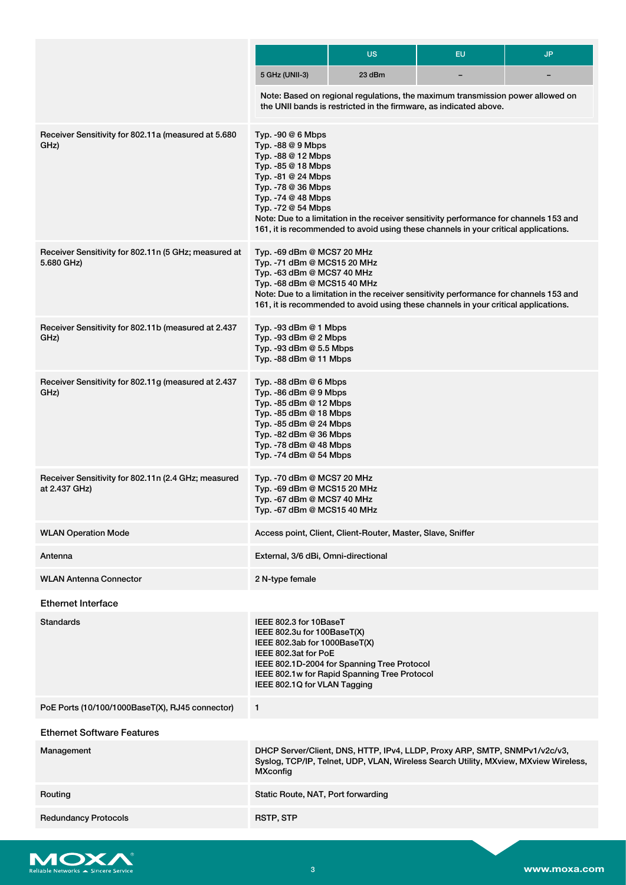|                                                                      |                                                                                                                                                                                                                  | <b>US</b>                                                                                                                                                                     | <b>EU</b>                | <b>JP</b> |
|----------------------------------------------------------------------|------------------------------------------------------------------------------------------------------------------------------------------------------------------------------------------------------------------|-------------------------------------------------------------------------------------------------------------------------------------------------------------------------------|--------------------------|-----------|
|                                                                      | 5 GHz (UNII-3)                                                                                                                                                                                                   | 23 dBm                                                                                                                                                                        | $\overline{\phantom{0}}$ |           |
|                                                                      |                                                                                                                                                                                                                  | Note: Based on regional regulations, the maximum transmission power allowed on<br>the UNII bands is restricted in the firmware, as indicated above.                           |                          |           |
| Receiver Sensitivity for 802.11a (measured at 5.680<br>GHz)          | Typ. - 90 @ 6 Mbps<br>Typ. -88 @ 9 Mbps<br>Typ. -88 @ 12 Mbps<br>Typ. - 85 @ 18 Mbps<br>Typ. -81 @ 24 Mbps<br>Typ. -78 @ 36 Mbps<br>Typ. -74 @ 48 Mbps<br>Typ. -72 @ 54 Mbps                                     | Note: Due to a limitation in the receiver sensitivity performance for channels 153 and<br>161, it is recommended to avoid using these channels in your critical applications. |                          |           |
| Receiver Sensitivity for 802.11n (5 GHz; measured at<br>5.680 GHz)   | Typ. -69 dBm @ MCS7 20 MHz<br>Typ. -71 dBm @ MCS15 20 MHz<br>Typ. -63 dBm @ MCS7 40 MHz<br>Typ. -68 dBm @ MCS15 40 MHz                                                                                           | Note: Due to a limitation in the receiver sensitivity performance for channels 153 and<br>161, it is recommended to avoid using these channels in your critical applications. |                          |           |
| Receiver Sensitivity for 802.11b (measured at 2.437<br>GHz)          | Typ. -93 dBm @ 1 Mbps<br>Typ. -93 dBm @ 2 Mbps<br>Typ. -93 dBm @ 5.5 Mbps<br>Typ. -88 dBm @ 11 Mbps                                                                                                              |                                                                                                                                                                               |                          |           |
| Receiver Sensitivity for 802.11g (measured at 2.437<br>GHz)          | Typ. -88 dBm @ 6 Mbps<br>Typ. $-86$ dBm $@9$ Mbps<br>Typ. -85 dBm @ 12 Mbps<br>Typ. -85 dBm @ 18 Mbps<br>Typ. -85 dBm @ 24 Mbps<br>Typ. -82 dBm @ 36 Mbps<br>Typ. -78 dBm $@$ 48 Mbps<br>Typ. - 74 dBm @ 54 Mbps |                                                                                                                                                                               |                          |           |
| Receiver Sensitivity for 802.11n (2.4 GHz; measured<br>at 2.437 GHz) | Typ. -70 dBm @ MCS7 20 MHz<br>Typ. -69 dBm @ MCS15 20 MHz<br>Typ. -67 dBm @ MCS7 40 MHz<br>Typ. -67 dBm @ MCS15 40 MHz                                                                                           |                                                                                                                                                                               |                          |           |
| <b>WLAN Operation Mode</b>                                           |                                                                                                                                                                                                                  | Access point, Client, Client-Router, Master, Slave, Sniffer                                                                                                                   |                          |           |
| Antenna                                                              | External, 3/6 dBi, Omni-directional                                                                                                                                                                              |                                                                                                                                                                               |                          |           |
| <b>WLAN Antenna Connector</b>                                        | 2 N-type female                                                                                                                                                                                                  |                                                                                                                                                                               |                          |           |
| <b>Ethernet Interface</b>                                            |                                                                                                                                                                                                                  |                                                                                                                                                                               |                          |           |
| <b>Standards</b>                                                     | IEEE 802.3 for 10BaseT<br>IEEE 802.3u for 100BaseT(X)<br>IEEE 802.3ab for 1000BaseT(X)<br>IEEE 802.3at for PoE<br>IEEE 802.1Q for VLAN Tagging                                                                   | IEEE 802.1D-2004 for Spanning Tree Protocol<br>IEEE 802.1w for Rapid Spanning Tree Protocol                                                                                   |                          |           |
| PoE Ports (10/100/1000BaseT(X), RJ45 connector)                      | 1                                                                                                                                                                                                                |                                                                                                                                                                               |                          |           |
| <b>Ethernet Software Features</b>                                    |                                                                                                                                                                                                                  |                                                                                                                                                                               |                          |           |
| Management                                                           | <b>MXconfig</b>                                                                                                                                                                                                  | DHCP Server/Client, DNS, HTTP, IPv4, LLDP, Proxy ARP, SMTP, SNMPv1/v2c/v3,<br>Syslog, TCP/IP, Telnet, UDP, VLAN, Wireless Search Utility, MXview, MXview Wireless,            |                          |           |
| Routing                                                              | Static Route, NAT, Port forwarding                                                                                                                                                                               |                                                                                                                                                                               |                          |           |
| <b>Redundancy Protocols</b>                                          | <b>RSTP, STP</b>                                                                                                                                                                                                 |                                                                                                                                                                               |                          |           |

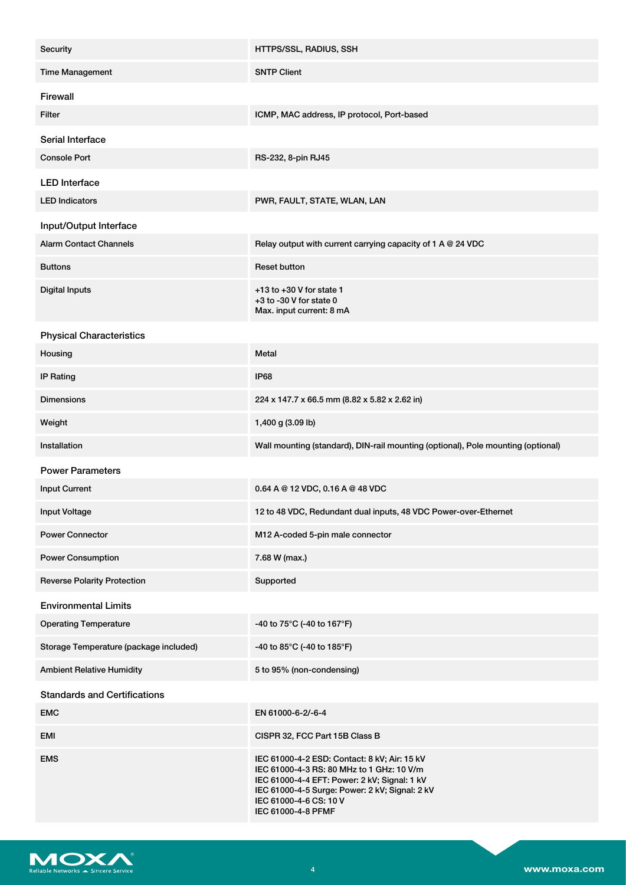| Security                               | HTTPS/SSL, RADIUS, SSH                                                                                                                                                                                                                      |
|----------------------------------------|---------------------------------------------------------------------------------------------------------------------------------------------------------------------------------------------------------------------------------------------|
| <b>Time Management</b>                 | <b>SNTP Client</b>                                                                                                                                                                                                                          |
| Firewall                               |                                                                                                                                                                                                                                             |
| Filter                                 | ICMP, MAC address, IP protocol, Port-based                                                                                                                                                                                                  |
| Serial Interface                       |                                                                                                                                                                                                                                             |
| <b>Console Port</b>                    | RS-232, 8-pin RJ45                                                                                                                                                                                                                          |
| <b>LED</b> Interface                   |                                                                                                                                                                                                                                             |
| <b>LED Indicators</b>                  | PWR, FAULT, STATE, WLAN, LAN                                                                                                                                                                                                                |
| Input/Output Interface                 |                                                                                                                                                                                                                                             |
| <b>Alarm Contact Channels</b>          | Relay output with current carrying capacity of 1 A $@$ 24 VDC                                                                                                                                                                               |
| <b>Buttons</b>                         | <b>Reset button</b>                                                                                                                                                                                                                         |
| <b>Digital Inputs</b>                  | $+13$ to $+30$ V for state 1<br>+3 to -30 V for state 0<br>Max. input current: 8 mA                                                                                                                                                         |
| <b>Physical Characteristics</b>        |                                                                                                                                                                                                                                             |
| Housing                                | Metal                                                                                                                                                                                                                                       |
| <b>IP Rating</b>                       | <b>IP68</b>                                                                                                                                                                                                                                 |
| <b>Dimensions</b>                      | 224 x 147.7 x 66.5 mm (8.82 x 5.82 x 2.62 in)                                                                                                                                                                                               |
| Weight                                 | 1,400 g (3.09 lb)                                                                                                                                                                                                                           |
| Installation                           | Wall mounting (standard), DIN-rail mounting (optional), Pole mounting (optional)                                                                                                                                                            |
| <b>Power Parameters</b>                |                                                                                                                                                                                                                                             |
| <b>Input Current</b>                   | 0.64 A @ 12 VDC, 0.16 A @ 48 VDC                                                                                                                                                                                                            |
| <b>Input Voltage</b>                   | 12 to 48 VDC, Redundant dual inputs, 48 VDC Power-over-Ethernet                                                                                                                                                                             |
| <b>Power Connector</b>                 | M12 A-coded 5-pin male connector                                                                                                                                                                                                            |
| <b>Power Consumption</b>               | 7.68 W (max.)                                                                                                                                                                                                                               |
| <b>Reverse Polarity Protection</b>     | Supported                                                                                                                                                                                                                                   |
| <b>Environmental Limits</b>            |                                                                                                                                                                                                                                             |
| <b>Operating Temperature</b>           | -40 to 75°C (-40 to 167°F)                                                                                                                                                                                                                  |
| Storage Temperature (package included) | -40 to 85°C (-40 to 185°F)                                                                                                                                                                                                                  |
| <b>Ambient Relative Humidity</b>       | 5 to 95% (non-condensing)                                                                                                                                                                                                                   |
| <b>Standards and Certifications</b>    |                                                                                                                                                                                                                                             |
| <b>EMC</b>                             | EN 61000-6-2/-6-4                                                                                                                                                                                                                           |
| EMI                                    | CISPR 32, FCC Part 15B Class B                                                                                                                                                                                                              |
| <b>EMS</b>                             | IEC 61000-4-2 ESD: Contact: 8 kV; Air: 15 kV<br>IEC 61000-4-3 RS: 80 MHz to 1 GHz: 10 V/m<br>IEC 61000-4-4 EFT: Power: 2 kV; Signal: 1 kV<br>IEC 61000-4-5 Surge: Power: 2 kV; Signal: 2 kV<br>IEC 61000-4-6 CS: 10 V<br>IEC 61000-4-8 PFMF |

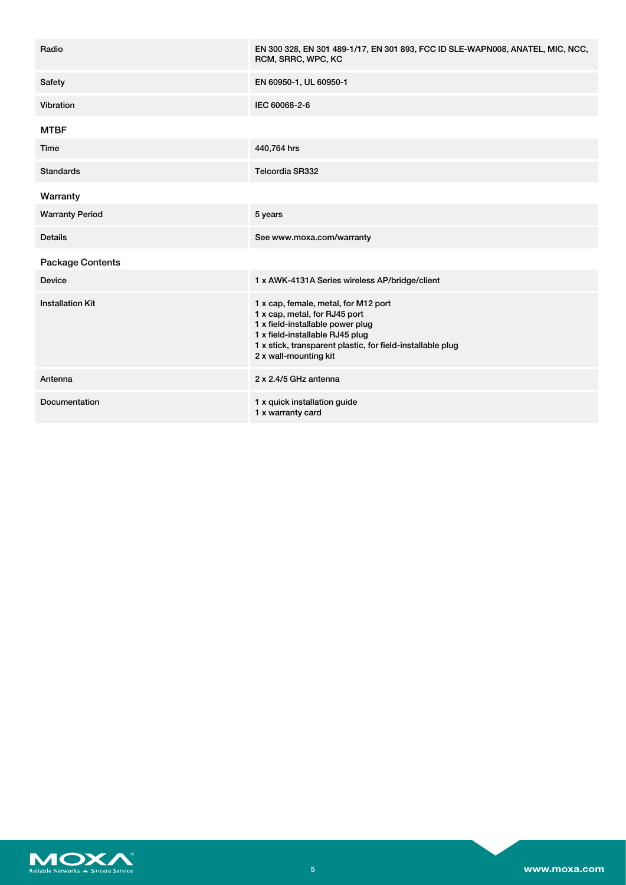| Radio                   | EN 300 328, EN 301 489-1/17, EN 301 893, FCC ID SLE-WAPN008, ANATEL, MIC, NCC,<br>RCM, SRRC, WPC, KC                                                                                                                                |
|-------------------------|-------------------------------------------------------------------------------------------------------------------------------------------------------------------------------------------------------------------------------------|
| Safety                  | EN 60950-1, UL 60950-1                                                                                                                                                                                                              |
| Vibration               | IEC 60068-2-6                                                                                                                                                                                                                       |
| <b>MTBF</b>             |                                                                                                                                                                                                                                     |
| Time                    | 440,764 hrs                                                                                                                                                                                                                         |
| <b>Standards</b>        | Telcordia SR332                                                                                                                                                                                                                     |
| Warranty                |                                                                                                                                                                                                                                     |
| <b>Warranty Period</b>  | 5 years                                                                                                                                                                                                                             |
| <b>Details</b>          | See www.moxa.com/warranty                                                                                                                                                                                                           |
| <b>Package Contents</b> |                                                                                                                                                                                                                                     |
| <b>Device</b>           | 1 x AWK-4131A Series wireless AP/bridge/client                                                                                                                                                                                      |
| <b>Installation Kit</b> | 1 x cap, female, metal, for M12 port<br>1 x cap, metal, for RJ45 port<br>1 x field-installable power plug<br>1 x field-installable RJ45 plug<br>1 x stick, transparent plastic, for field-installable plug<br>2 x wall-mounting kit |
| Antenna                 | 2 x 2.4/5 GHz antenna                                                                                                                                                                                                               |
| Documentation           | 1 x quick installation guide<br>1 x warranty card                                                                                                                                                                                   |

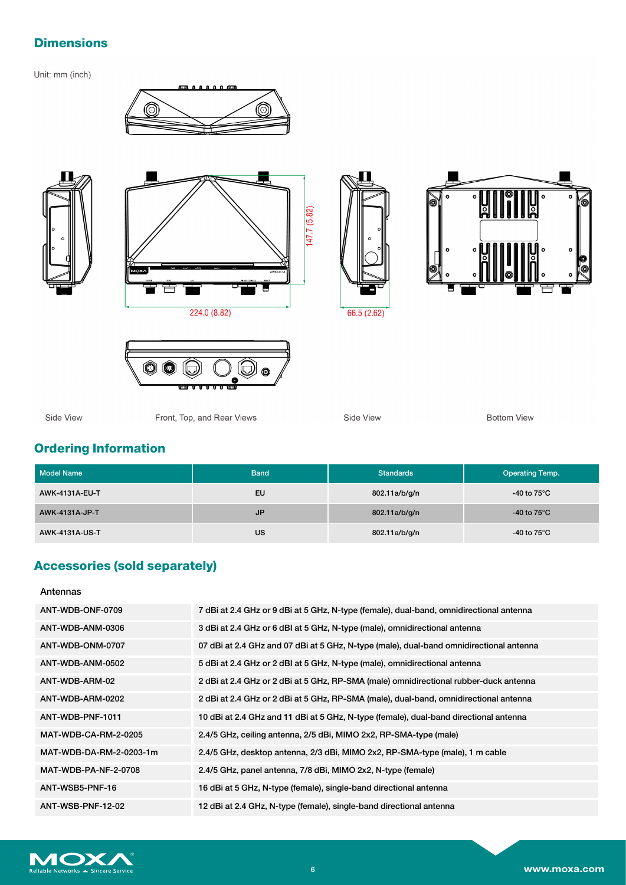### **Dimensions**

Unit: mm (inch)













Side View

Front, Top, and Rear Views

Side View

**Bottom View** 

# **Ordering Information**

| <b>Model Name</b>     | <b>Band</b> | <b>Standards</b> | <b>Operating Temp.</b> |
|-----------------------|-------------|------------------|------------------------|
| <b>AWK-4131A-EU-T</b> | EU          | 802.11a/b/g/n    | -40 to 75 $^{\circ}$ C |
| AWK-4131A-JP-T        | <b>JP</b>   | 802.11a/b/g/n    | -40 to 75 $^{\circ}$ C |
| AWK-4131A-US-T        | US          | 802.11a/b/g/n    | -40 to 75 $^{\circ}$ C |

# **Accessories (sold separately)**

Antennas

| ANT-WDB-ONF-0709            | 7 dBi at 2.4 GHz or 9 dBi at 5 GHz, N-type (female), dual-band, omnidirectional antenna |
|-----------------------------|-----------------------------------------------------------------------------------------|
| ANT-WDB-ANM-0306            | 3 dBi at 2.4 GHz or 6 dBI at 5 GHz, N-type (male), omnidirectional antenna              |
| ANT-WDB-ONM-0707            | 07 dBi at 2.4 GHz and 07 dBi at 5 GHz, N-type (male), dual-band omnidirectional antenna |
| ANT-WDB-ANM-0502            | 5 dBi at 2.4 GHz or 2 dBI at 5 GHz, N-type (male), omnidirectional antenna              |
| ANT-WDB-ARM-02              | 2 dBi at 2.4 GHz or 2 dBi at 5 GHz, RP-SMA (male) omnidirectional rubber-duck antenna   |
| ANT-WDB-ARM-0202            | 2 dBi at 2.4 GHz or 2 dBi at 5 GHz, RP-SMA (male), dual-band, omnidirectional antenna   |
| ANT-WDB-PNF-1011            | 10 dBi at 2.4 GHz and 11 dBi at 5 GHz, N-type (female), dual-band directional antenna   |
| <b>MAT-WDB-CA-RM-2-0205</b> | 2.4/5 GHz, ceiling antenna, 2/5 dBi, MIMO 2x2, RP-SMA-type (male)                       |
| MAT-WDB-DA-RM-2-0203-1m     | 2.4/5 GHz, desktop antenna, 2/3 dBi, MIMO 2x2, RP-SMA-type (male), 1 m cable            |
| MAT-WDB-PA-NF-2-0708        | 2.4/5 GHz, panel antenna, 7/8 dBi, MIMO 2x2, N-type (female)                            |
| ANT-WSB5-PNF-16             | 16 dBi at 5 GHz, N-type (female), single-band directional antenna                       |
| ANT-WSB-PNF-12-02           | 12 dBi at 2.4 GHz, N-type (female), single-band directional antenna                     |